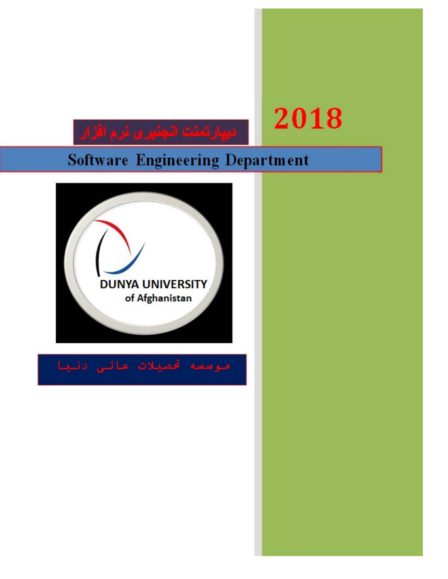# 2018

## **Software Engineering Department**

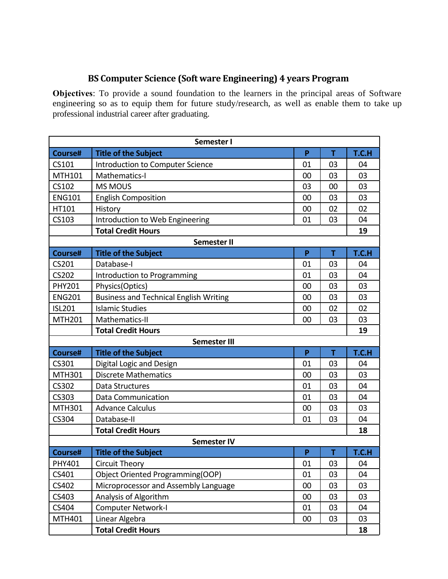#### **BS Computer Science (Soft ware Engineering) 4 years Program**

**Objectives**: To provide a sound foundation to the learners in the principal areas of Software engineering so as to equip them for future study/research, as well as enable them to take up professional industrial career after graduating.

| Semester I                |                                               |    |    |       |
|---------------------------|-----------------------------------------------|----|----|-------|
| Course#                   | <b>Title of the Subject</b>                   | P  | T  | T.C.H |
| CS101                     | Introduction to Computer Science              | 01 | 03 | 04    |
| MTH101                    | Mathematics-I                                 | 00 | 03 | 03    |
| CS102                     | <b>MS MOUS</b>                                | 03 | 00 | 03    |
| <b>ENG101</b>             | <b>English Composition</b>                    | 00 | 03 | 03    |
| HT101                     | History                                       | 00 | 02 | 02    |
| CS103                     | Introduction to Web Engineering               | 01 | 03 | 04    |
|                           | <b>Total Credit Hours</b>                     |    |    | 19    |
|                           | <b>Semester II</b>                            |    |    |       |
| Course#                   | <b>Title of the Subject</b>                   | P  | T  | T.C.H |
| CS201                     | Database-I                                    | 01 | 03 | 04    |
| CS202                     | Introduction to Programming                   | 01 | 03 | 04    |
| <b>PHY201</b>             | Physics(Optics)                               | 00 | 03 | 03    |
| <b>ENG201</b>             | <b>Business and Technical English Writing</b> | 00 | 03 | 03    |
| <b>ISL201</b>             | <b>Islamic Studies</b>                        | 00 | 02 | 02    |
| <b>MTH201</b>             | Mathematics-II                                | 00 | 03 | 03    |
| <b>Total Credit Hours</b> |                                               |    |    | 19    |
|                           | <b>Semester III</b>                           |    |    |       |
| Course#                   | <b>Title of the Subject</b>                   | P  | T  | T.C.H |
| CS301                     | Digital Logic and Design                      | 01 | 03 | 04    |
| MTH301                    | <b>Discrete Mathematics</b>                   | 00 | 03 | 03    |
| CS302                     | Data Structures                               | 01 | 03 | 04    |
| CS303                     | Data Communication                            | 01 | 03 | 04    |
| MTH301                    | <b>Advance Calculus</b>                       | 00 | 03 | 03    |
| CS304                     | Database-II                                   | 01 | 03 | 04    |
|                           | <b>Total Credit Hours</b>                     |    |    | 18    |
|                           | <b>Semester IV</b>                            |    |    |       |
| Course#                   | <b>Title of the Subject</b>                   | P  | Τ  | T.C.H |
| PHY401                    | <b>Circuit Theory</b>                         | 01 | 03 | 04    |
| CS401                     | Object Oriented Programming(OOP)              | 01 | 03 | 04    |
| CS402                     | Microprocessor and Assembly Language          | 00 | 03 | 03    |
| CS403                     | Analysis of Algorithm                         | 00 | 03 | 03    |
| CS404                     | <b>Computer Network-I</b>                     | 01 | 03 | 04    |
| MTH401                    | Linear Algebra                                | 00 | 03 | 03    |
|                           | <b>Total Credit Hours</b>                     |    |    | 18    |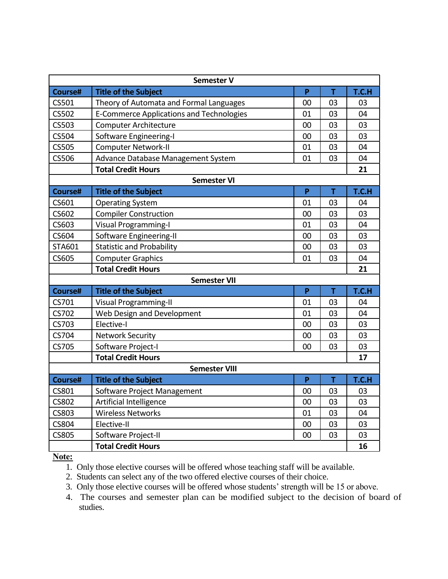| <b>Semester V</b>         |                                                 |    |    |       |  |
|---------------------------|-------------------------------------------------|----|----|-------|--|
| Course#                   | <b>Title of the Subject</b>                     | P  | T  | T.C.H |  |
| CS501                     | Theory of Automata and Formal Languages         | 00 | 03 | 03    |  |
| <b>CS502</b>              | <b>E-Commerce Applications and Technologies</b> | 01 | 03 | 04    |  |
| CS503                     | <b>Computer Architecture</b>                    | 00 | 03 | 03    |  |
| CS504                     | Software Engineering-I                          | 00 | 03 | 03    |  |
| <b>CS505</b>              | <b>Computer Network-II</b>                      | 01 | 03 | 04    |  |
| <b>CS506</b>              | Advance Database Management System              | 01 | 03 | 04    |  |
|                           | <b>Total Credit Hours</b>                       |    |    | 21    |  |
|                           | <b>Semester VI</b>                              |    |    |       |  |
| Course#                   | <b>Title of the Subject</b>                     | P  | T  | T.C.H |  |
| CS601                     | <b>Operating System</b>                         | 01 | 03 | 04    |  |
| CS602                     | <b>Compiler Construction</b>                    | 00 | 03 | 03    |  |
| CS603                     | <b>Visual Programming-I</b>                     | 01 | 03 | 04    |  |
| CS604                     | Software Engineering-II                         | 00 | 03 | 03    |  |
| STA601                    | <b>Statistic and Probability</b>                | 00 | 03 | 03    |  |
| <b>CS605</b>              | <b>Computer Graphics</b>                        | 01 | 03 | 04    |  |
| <b>Total Credit Hours</b> |                                                 |    |    |       |  |
|                           | <b>Semester VII</b>                             |    |    |       |  |
| Course#                   | <b>Title of the Subject</b>                     | P  | T  | T.C.H |  |
| CS701                     | <b>Visual Programming-II</b>                    | 01 | 03 | 04    |  |
| CS702                     | Web Design and Development                      | 01 | 03 | 04    |  |
| CS703                     | Elective-I                                      | 00 | 03 | 03    |  |
| CS704                     | <b>Network Security</b>                         | 00 | 03 | 03    |  |
| CS705                     | Software Project-I                              | 00 | 03 | 03    |  |
|                           | <b>Total Credit Hours</b>                       |    |    | 17    |  |
|                           | <b>Semester VIII</b>                            |    |    |       |  |
| Course#                   | <b>Title of the Subject</b>                     | P  | T  | T.C.H |  |
| CS801                     | Software Project Management                     | 00 | 03 | 03    |  |
| <b>CS802</b>              | Artificial Intelligence                         | 00 | 03 | 03    |  |
| <b>CS803</b>              | <b>Wireless Networks</b>                        | 01 | 03 | 04    |  |
| <b>CS804</b>              | Elective-II                                     | 00 | 03 | 03    |  |
| <b>CS805</b>              | Software Project-II                             | 00 | 03 | 03    |  |
| <b>Total Credit Hours</b> |                                                 |    |    | 16    |  |

**Note:** 

1. Only those elective courses will be offered whose teaching staff will be available.

2. Students can select any of the two offered elective courses of their choice.

3. Only those elective courses will be offered whose students' strength will be 15 or above.

4. The courses and semester plan can be modified subject to the decision of board of studies.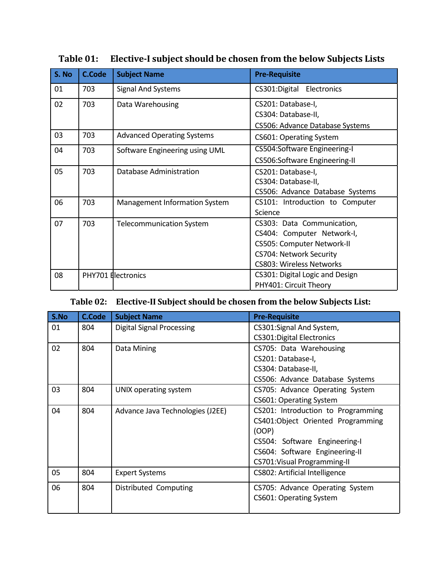| S. No | <b>C.Code</b> | <b>Subject Name</b>               | <b>Pre-Requisite</b>                                                                                                                                 |
|-------|---------------|-----------------------------------|------------------------------------------------------------------------------------------------------------------------------------------------------|
| 01    | 703           | <b>Signal And Systems</b>         | CS301:Digital Electronics                                                                                                                            |
| 02    | 703           | Data Warehousing                  | CS201: Database-I,<br>CS304: Database-II,<br>CS506: Advance Database Systems                                                                         |
| 03    | 703           | <b>Advanced Operating Systems</b> | CS601: Operating System                                                                                                                              |
| 04    | 703           | Software Engineering using UML    | CS504:Software Engineering-I<br>CS506:Software Engineering-II                                                                                        |
| 05    | 703           | Database Administration           | CS201: Database-I,<br>CS304: Database-II,<br>CS506: Advance Database Systems                                                                         |
| 06    | 703           | Management Information System     | CS101: Introduction to Computer<br>Science                                                                                                           |
| 07    | 703           | <b>Telecommunication System</b>   | CS303: Data Communication,<br>CS404: Computer Network-I,<br>CS505: Computer Network-II<br>CS704: Network Security<br><b>CS803: Wireless Networks</b> |
| 08    |               | PHY701 Electronics                | CS301: Digital Logic and Design<br>PHY401: Circuit Theory                                                                                            |

#### **Table 01: Elective-I subject should be chosen from the below Subjects Lists**

#### **Table 02: Elective-II Subject should be chosen from the below Subjects List:**

| S.No | <b>C.Code</b> | <b>Subject Name</b>              | <b>Pre-Requisite</b>               |
|------|---------------|----------------------------------|------------------------------------|
| 01   | 804           | <b>Digital Signal Processing</b> | CS301:Signal And System,           |
|      |               |                                  | <b>CS301:Digital Electronics</b>   |
| 02   | 804           | Data Mining                      | CS705: Data Warehousing            |
|      |               |                                  | CS201: Database-I,                 |
|      |               |                                  | CS304: Database-II,                |
|      |               |                                  | CS506: Advance Database Systems    |
| 03   | 804           | UNIX operating system            | CS705: Advance Operating System    |
|      |               |                                  | <b>CS601: Operating System</b>     |
| 04   | 804           | Advance Java Technologies (J2EE) | CS201: Introduction to Programming |
|      |               |                                  | CS401:Object Oriented Programming  |
|      |               |                                  | (OOP)                              |
|      |               |                                  | CS504: Software Engineering-I      |
|      |               |                                  | CS604: Software Engineering-II     |
|      |               |                                  | CS701: Visual Programming-II       |
| 05   | 804           | <b>Expert Systems</b>            | CS802: Artificial Intelligence     |
| 06   | 804           | Distributed Computing            | CS705: Advance Operating System    |
|      |               |                                  | CS601: Operating System            |
|      |               |                                  |                                    |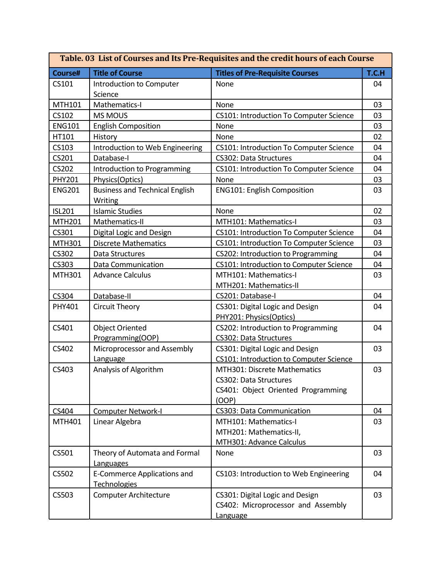| Table. 03 List of Courses and Its Pre-Requisites and the credit hours of each Course |                                                           |                                                                                                       |       |
|--------------------------------------------------------------------------------------|-----------------------------------------------------------|-------------------------------------------------------------------------------------------------------|-------|
| Course#                                                                              | <b>Title of Course</b>                                    | <b>Titles of Pre-Requisite Courses</b>                                                                | T.C.H |
| CS101                                                                                | Introduction to Computer<br>Science                       | None                                                                                                  | 04    |
| MTH101                                                                               | Mathematics-I                                             | None                                                                                                  | 03    |
| CS102                                                                                | <b>MS MOUS</b>                                            | <b>CS101: Introduction To Computer Science</b>                                                        | 03    |
| <b>ENG101</b>                                                                        | <b>English Composition</b>                                | None                                                                                                  | 03    |
| HT101                                                                                | History                                                   | None                                                                                                  | 02    |
| CS103                                                                                | Introduction to Web Engineering                           | <b>CS101: Introduction To Computer Science</b>                                                        | 04    |
| CS201                                                                                | Database-I                                                | <b>CS302: Data Structures</b>                                                                         | 04    |
| <b>CS202</b>                                                                         | Introduction to Programming                               | CS101: Introduction To Computer Science                                                               | 04    |
| <b>PHY201</b>                                                                        | Physics(Optics)                                           | None                                                                                                  | 03    |
| <b>ENG201</b>                                                                        | <b>Business and Technical English</b><br>Writing          | <b>ENG101: English Composition</b>                                                                    | 03    |
| <b>ISL201</b>                                                                        | <b>Islamic Studies</b>                                    | None                                                                                                  | 02    |
| <b>MTH201</b>                                                                        | Mathematics-II                                            | MTH101: Mathematics-I                                                                                 | 03    |
| CS301                                                                                | Digital Logic and Design                                  | CS101: Introduction To Computer Science                                                               | 04    |
| MTH301                                                                               | <b>Discrete Mathematics</b>                               | <b>CS101: Introduction To Computer Science</b>                                                        | 03    |
| CS302                                                                                | Data Structures                                           | CS202: Introduction to Programming                                                                    | 04    |
| CS303                                                                                | <b>Data Communication</b>                                 | CS101: Introduction to Computer Science                                                               | 04    |
| MTH301                                                                               | <b>Advance Calculus</b>                                   | MTH101: Mathematics-I<br>MTH201: Mathematics-II                                                       | 03    |
| CS304                                                                                | Database-II                                               | CS201: Database-I                                                                                     | 04    |
| PHY401                                                                               | Circuit Theory                                            | CS301: Digital Logic and Design<br>PHY201: Physics(Optics)                                            | 04    |
| CS401                                                                                | <b>Object Oriented</b><br>Programming(OOP)                | CS202: Introduction to Programming<br>CS302: Data Structures                                          | 04    |
| CS402                                                                                | Microprocessor and Assembly<br>Language                   | CS301: Digital Logic and Design<br><b>CS101: Introduction to Computer Science</b>                     | 03    |
| CS403                                                                                | Analysis of Algorithm                                     | MTH301: Discrete Mathematics<br>CS302: Data Structures<br>CS401: Object Oriented Programming<br>(OOP) | 03    |
| CS404                                                                                | Computer Network-I                                        | CS303: Data Communication                                                                             | 04    |
| MTH401                                                                               | Linear Algebra                                            | MTH101: Mathematics-I<br>MTH201: Mathematics-II,<br>MTH301: Advance Calculus                          | 03    |
| CS501                                                                                | Theory of Automata and Formal<br>Languages                | None                                                                                                  | 03    |
| CS502                                                                                | <b>E-Commerce Applications and</b><br><b>Technologies</b> | CS103: Introduction to Web Engineering                                                                | 04    |
| CS503                                                                                | <b>Computer Architecture</b>                              | CS301: Digital Logic and Design<br>CS402: Microprocessor and Assembly<br>Language                     | 03    |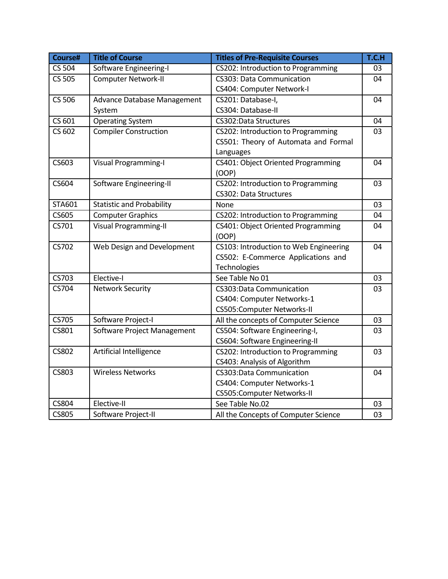| Course#       | <b>Title of Course</b>           | <b>Titles of Pre-Requisite Courses</b> | T.C.H |
|---------------|----------------------------------|----------------------------------------|-------|
| <b>CS 504</b> | Software Engineering-I           | CS202: Introduction to Programming     | 03    |
| <b>CS 505</b> | <b>Computer Network-II</b>       | <b>CS303: Data Communication</b>       |       |
|               |                                  | CS404: Computer Network-I              |       |
| CS 506        | Advance Database Management      | CS201: Database-I,                     | 04    |
|               | System                           | CS304: Database-II                     |       |
| CS 601        | <b>Operating System</b>          | <b>CS302:Data Structures</b>           | 04    |
| CS 602        | <b>Compiler Construction</b>     | CS202: Introduction to Programming     | 03    |
|               |                                  | CS501: Theory of Automata and Formal   |       |
|               |                                  | Languages                              |       |
| CS603         | <b>Visual Programming-I</b>      | CS401: Object Oriented Programming     | 04    |
|               |                                  | (OOP)                                  |       |
| CS604         | Software Engineering-II          | CS202: Introduction to Programming     | 03    |
|               |                                  | CS302: Data Structures                 |       |
| STA601        | <b>Statistic and Probability</b> | None                                   | 03    |
| CS605         | <b>Computer Graphics</b>         | CS202: Introduction to Programming     | 04    |
| CS701         | <b>Visual Programming-II</b>     | CS401: Object Oriented Programming     | 04    |
|               |                                  | (OOP)                                  |       |
| CS702         | Web Design and Development       | CS103: Introduction to Web Engineering | 04    |
|               |                                  | CS502: E-Commerce Applications and     |       |
|               |                                  | Technologies                           |       |
| CS703         | Elective-I                       | See Table No 01                        | 03    |
| CS704         | <b>Network Security</b>          | CS303:Data Communication               | 03    |
|               |                                  | CS404: Computer Networks-1             |       |
|               |                                  | CS505:Computer Networks-II             |       |
| <b>CS705</b>  | Software Project-I               | All the concepts of Computer Science   | 03    |
| CS801         | Software Project Management      | CS504: Software Engineering-I,         | 03    |
|               |                                  | CS604: Software Engineering-II         |       |
| <b>CS802</b>  | Artificial Intelligence          | CS202: Introduction to Programming     | 03    |
|               |                                  | CS403: Analysis of Algorithm           |       |
| <b>CS803</b>  | <b>Wireless Networks</b>         | CS303:Data Communication               | 04    |
|               |                                  | CS404: Computer Networks-1             |       |
|               |                                  | CS505:Computer Networks-II             |       |
| <b>CS804</b>  | Elective-II                      | See Table No.02                        | 03    |
| <b>CS805</b>  | Software Project-II              | All the Concepts of Computer Science   | 03    |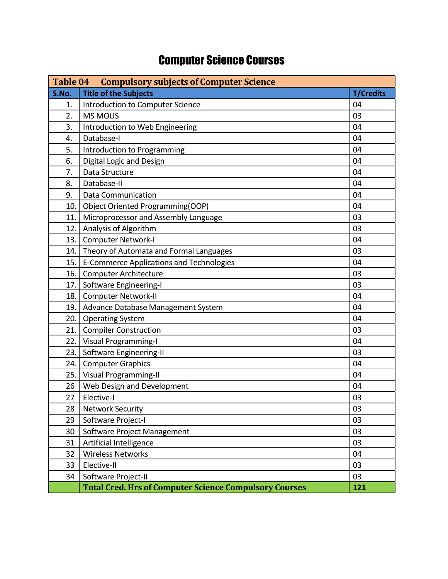## Computer Science Courses

| Table 04<br><b>Compulsory subjects of Computer Science</b> |                                                               |                  |
|------------------------------------------------------------|---------------------------------------------------------------|------------------|
| S.No.                                                      | <b>Title of the Subjects</b>                                  | <b>T/Credits</b> |
| 1.                                                         | Introduction to Computer Science                              | 04               |
| $\overline{2}$ .                                           | <b>MS MOUS</b>                                                | 03               |
| 3.                                                         | Introduction to Web Engineering                               | 04               |
| 4.                                                         | Database-I                                                    | 04               |
| 5.                                                         | Introduction to Programming                                   | 04               |
| 6.                                                         | Digital Logic and Design                                      | 04               |
| 7.                                                         | Data Structure                                                | 04               |
| 8.                                                         | Database-II                                                   | 04               |
| 9.                                                         | <b>Data Communication</b>                                     | 04               |
| 10.                                                        | Object Oriented Programming(OOP)                              | 04               |
| 11.                                                        | Microprocessor and Assembly Language                          | 03               |
| 12.                                                        | Analysis of Algorithm                                         | 03               |
| 13.                                                        | <b>Computer Network-I</b>                                     | 04               |
| 14.                                                        | Theory of Automata and Formal Languages                       | 03               |
| 15.                                                        | <b>E-Commerce Applications and Technologies</b>               | 04               |
| 16.                                                        | <b>Computer Architecture</b>                                  | 03               |
| 17.                                                        | Software Engineering-I                                        | 03               |
| 18.                                                        | Computer Network-II                                           | 04               |
| 19.                                                        | Advance Database Management System                            | 04               |
| 20.                                                        | <b>Operating System</b>                                       | 04               |
| 21.                                                        | <b>Compiler Construction</b>                                  | 03               |
| 22.                                                        | <b>Visual Programming-I</b>                                   | 04               |
| 23.                                                        | Software Engineering-II                                       | 03               |
| 24.                                                        | <b>Computer Graphics</b>                                      | 04               |
| 25.                                                        | <b>Visual Programming-II</b>                                  | 04               |
| 26                                                         | Web Design and Development                                    | 04               |
| 27                                                         | Elective-I                                                    | 03               |
| 28                                                         | <b>Network Security</b>                                       | 03               |
| 29                                                         | Software Project-I                                            | 03               |
| 30                                                         | Software Project Management                                   | 03               |
| 31                                                         | Artificial Intelligence                                       | 03               |
| 32                                                         | <b>Wireless Networks</b>                                      | 04               |
| 33                                                         | Elective-II                                                   | 03               |
| 34                                                         | Software Project-II                                           | 03               |
|                                                            | <b>Total Cred. Hrs of Computer Science Compulsory Courses</b> | 121              |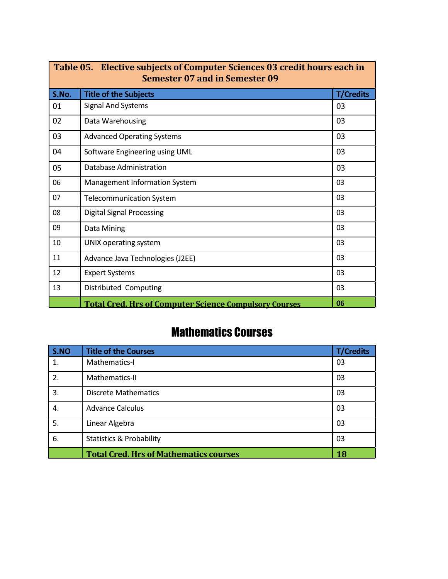| Table 05. Elective subjects of Computer Sciences 03 credit hours each in<br><b>Semester 07 and in Semester 09</b> |                                                               |                  |  |
|-------------------------------------------------------------------------------------------------------------------|---------------------------------------------------------------|------------------|--|
| S.No.                                                                                                             | <b>Title of the Subjects</b>                                  | <b>T/Credits</b> |  |
| 01                                                                                                                | <b>Signal And Systems</b>                                     | 03               |  |
| 02                                                                                                                | Data Warehousing                                              | 03               |  |
| 03                                                                                                                | <b>Advanced Operating Systems</b>                             | 03               |  |
| 04                                                                                                                | Software Engineering using UML                                | 03               |  |
| 05                                                                                                                | Database Administration                                       | 03               |  |
| 06                                                                                                                | Management Information System                                 | 03               |  |
| 07                                                                                                                | <b>Telecommunication System</b>                               | 03               |  |
| 08                                                                                                                | <b>Digital Signal Processing</b>                              | 03               |  |
| 09                                                                                                                | Data Mining                                                   | 03               |  |
| 10                                                                                                                | UNIX operating system                                         | 03               |  |
| 11                                                                                                                | Advance Java Technologies (J2EE)                              | 03               |  |
| 12                                                                                                                | <b>Expert Systems</b>                                         | 03               |  |
| 13                                                                                                                | Distributed Computing                                         | 03               |  |
|                                                                                                                   | <b>Total Cred. Hrs of Computer Science Compulsory Courses</b> | 06               |  |

### Mathematics Courses

| S.NO             | <b>Title of the Courses</b>                   | <b>T/Credits</b> |
|------------------|-----------------------------------------------|------------------|
| $\mathbf{1}$ .   | Mathematics-I                                 | 03               |
| 2.               | Mathematics-II                                | 03               |
| $\overline{3}$ . | <b>Discrete Mathematics</b>                   | 03               |
| 4.               | <b>Advance Calculus</b>                       | 03               |
| 5.               | Linear Algebra                                | 03               |
| 6.               | <b>Statistics &amp; Probability</b>           | 03               |
|                  | <b>Total Cred. Hrs of Mathematics courses</b> | 18               |